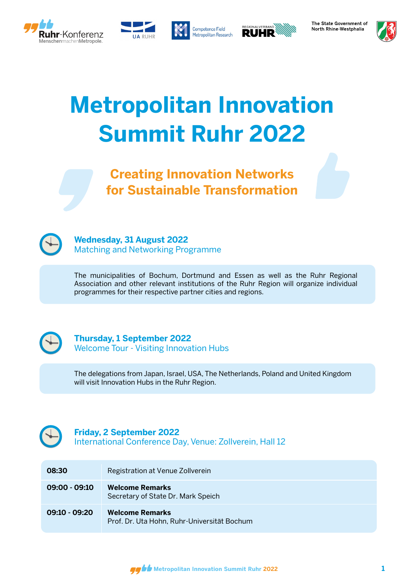







The State Government of North Rhine-Westphalia



# **Metropolitan Innovation Summit Ruhr 2022**

**Creating Innovation Networks for Sustainable Transformation**



#### **Wednesday, 31 August 2022** Matching and Networking Programme

The municipalities of Bochum, Dortmund and Essen as well as the Ruhr Regional Association and other relevant institutions of the Ruhr Region will organize individual programmes for their respective partner cities and regions.



## **Thursday, 1 September 2022**

Welcome Tour - Visiting Innovation Hubs

The delegations from Japan, Israel, USA, The Netherlands, Poland and United Kingdom will visit Innovation Hubs in the Ruhr Region.



## **Friday, 2 September 2022**

International Conference Day, Venue: Zollverein, Hall 12

| 08:30           | Registration at Venue Zollverein                                      |
|-----------------|-----------------------------------------------------------------------|
| $09:00 - 09:10$ | <b>Welcome Remarks</b><br>Secretary of State Dr. Mark Speich          |
| $09:10 - 09:20$ | <b>Welcome Remarks</b><br>Prof. Dr. Uta Hohn, Ruhr-Universität Bochum |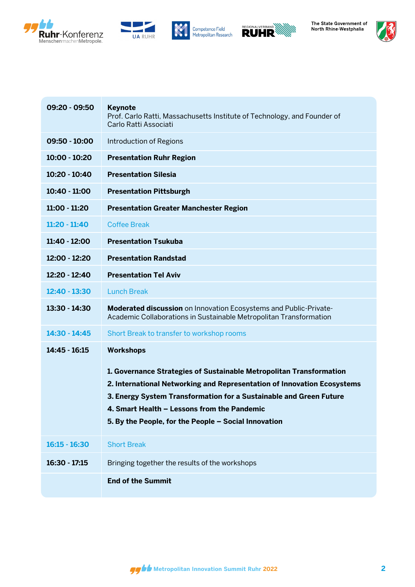









| 09:20 - 09:50   | <b>Keynote</b><br>Prof. Carlo Ratti, Massachusetts Institute of Technology, and Founder of<br>Carlo Ratti Associati                                                                                                                                                                                                                             |
|-----------------|-------------------------------------------------------------------------------------------------------------------------------------------------------------------------------------------------------------------------------------------------------------------------------------------------------------------------------------------------|
| 09:50 - 10:00   | <b>Introduction of Regions</b>                                                                                                                                                                                                                                                                                                                  |
| 10:00 - 10:20   | <b>Presentation Ruhr Region</b>                                                                                                                                                                                                                                                                                                                 |
| 10:20 - 10:40   | <b>Presentation Silesia</b>                                                                                                                                                                                                                                                                                                                     |
| 10:40 - 11:00   | <b>Presentation Pittsburgh</b>                                                                                                                                                                                                                                                                                                                  |
| 11:00 - 11:20   | <b>Presentation Greater Manchester Region</b>                                                                                                                                                                                                                                                                                                   |
| $11:20 - 11:40$ | <b>Coffee Break</b>                                                                                                                                                                                                                                                                                                                             |
| 11:40 - 12:00   | <b>Presentation Tsukuba</b>                                                                                                                                                                                                                                                                                                                     |
| 12:00 - 12:20   | <b>Presentation Randstad</b>                                                                                                                                                                                                                                                                                                                    |
| 12:20 - 12:40   | <b>Presentation Tel Aviv</b>                                                                                                                                                                                                                                                                                                                    |
| 12:40 - 13:30   | <b>Lunch Break</b>                                                                                                                                                                                                                                                                                                                              |
| 13:30 - 14:30   | Moderated discussion on Innovation Ecosystems and Public-Private-<br>Academic Collaborations in Sustainable Metropolitan Transformation                                                                                                                                                                                                         |
| $14:30 - 14:45$ | Short Break to transfer to workshop rooms                                                                                                                                                                                                                                                                                                       |
| 14:45 - 16:15   | <b>Workshops</b><br>1. Governance Strategies of Sustainable Metropolitan Transformation<br>2. International Networking and Representation of Innovation Ecosystems<br>3. Energy System Transformation for a Sustainable and Green Future<br>4. Smart Health - Lessons from the Pandemic<br>5. By the People, for the People - Social Innovation |
| $16:15 - 16:30$ | <b>Short Break</b>                                                                                                                                                                                                                                                                                                                              |
| 16:30 - 17:15   | Bringing together the results of the workshops                                                                                                                                                                                                                                                                                                  |
|                 | <b>End of the Summit</b>                                                                                                                                                                                                                                                                                                                        |